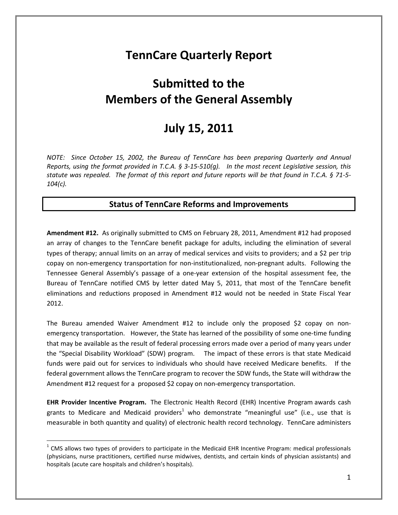# **TennCare Quarterly Report**

# **Submitted to the Members of the General Assembly**

## **July 15, 2011**

*NOTE: Since October 15, 2002, the Bureau of TennCare has been preparing Quarterly and Annual Reports, using the format provided in T.C.A. § 3-15-510(g). In the most recent Legislative session, this statute was repealed. The format of this report and future reports will be that found in T.C.A. § 71-5- 104(c).*

## **Status of TennCare Reforms and Improvements**

**Amendment #12.** As originally submitted to CMS on February 28, 2011, Amendment #12 had proposed an array of changes to the TennCare benefit package for adults, including the elimination of several types of therapy; annual limits on an array of medical services and visits to providers; and a \$2 per trip copay on non-emergency transportation for non-institutionalized, non-pregnant adults. Following the Tennessee General Assembly's passage of a one-year extension of the hospital assessment fee, the Bureau of TennCare notified CMS by letter dated May 5, 2011, that most of the TennCare benefit eliminations and reductions proposed in Amendment #12 would not be needed in State Fiscal Year 2012.

The Bureau amended Waiver Amendment #12 to include only the proposed \$2 copay on nonemergency transportation. However, the State has learned of the possibility of some one-time funding that may be available as the result of federal processing errors made over a period of many years under the "Special Disability Workload" (SDW) program. The impact of these errors is that state Medicaid funds were paid out for services to individuals who should have received Medicare benefits. If the federal government allows the TennCare program to recover the SDW funds, the State will withdraw the Amendment #12 request for a proposed \$2 copay on non-emergency transportation.

**EHR Provider Incentive Program.** The Electronic Health Record (EHR) Incentive Program awards cash grants to Medicare and Medicaid providers<sup>1</sup> who demonstrate "meaningful use" (i.e., use that is measurable in both quantity and quality) of electronic health record technology. TennCare administers

 $1$  CMS allows two types of providers to participate in the Medicaid EHR Incentive Program: medical professionals (physicians, nurse practitioners, certified nurse midwives, dentists, and certain kinds of physician assistants) and hospitals (acute care hospitals and children's hospitals).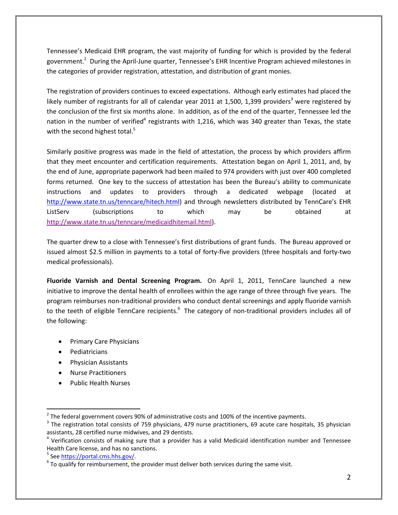Tennessee's Medicaid EHR program, the vast majority of funding for which is provided by the federal government.<sup>2</sup> During the April-June quarter, Tennessee's EHR Incentive Program achieved milestones in the categories of provider registration, attestation, and distribution of grant monies.

The registration of providers continues to exceed expectations. Although early estimates had placed the likely number of registrants for all of calendar year 2011 at 1,500, 1,399 providers<sup>3</sup> were registered by the conclusion of the first six months alone. In addition, as of the end of the quarter, Tennessee led the nation in the number of verified<sup>4</sup> registrants with 1,216, which was 340 greater than Texas, the state with the second highest total. $5$ 

Similarly positive progress was made in the field of attestation, the process by which providers affirm that they meet encounter and certification requirements. Attestation began on April 1, 2011, and, by the end of June, appropriate paperwork had been mailed to 974 providers with just over 400 completed forms returned. One key to the success of attestation has been the Bureau's ability to communicate instructions and updates to providers through a dedicated webpage (located at http://www.state.tn.us/tenncare/hitech.html) and through newsletters distributed by TennCare's EHR ListServ (subscriptions to which may be obtained at http://www.state.tn.us/tenncare/medicaidhitemail.html).

The quarter drew to a close with Tennessee's first distributions of grant funds. The Bureau approved or issued almost \$2.5 million in payments to a total of forty-five providers (three hospitals and forty-two medical professionals).

**Fluoride Varnish and Dental Screening Program.** On April 1, 2011, TennCare launched a new initiative to improve the dental health of enrollees within the age range of three through five years. The program reimburses non-traditional providers who conduct dental screenings and apply fluoride varnish to the teeth of eligible TennCare recipients.<sup>6</sup> The category of non-traditional providers includes all of the following:

- Primary Care Physicians
- Pediatricians
- Physician Assistants
- Nurse Practitioners
- Public Health Nurses

 $2$  The federal government covers 90% of administrative costs and 100% of the incentive payments.

<sup>&</sup>lt;sup>3</sup> The registration total consists of 759 physicians, 479 nurse practitioners, 69 acute care hospitals, 35 physician assistants, 28 certified nurse midwives, and 29 dentists.

 $4$  Verification consists of making sure that a provider has a valid Medicaid identification number and Tennessee Health Care license, and has no sanctions.

<sup>&</sup>lt;sup>5</sup> See https://portal.cms.hhs.gov/.

 $6$  To qualify for reimbursement, the provider must deliver both services during the same visit.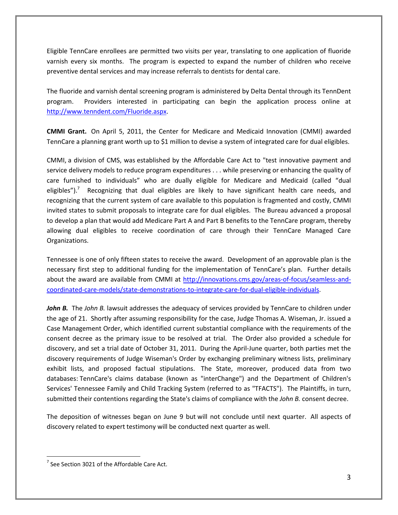Eligible TennCare enrollees are permitted two visits per year, translating to one application of fluoride varnish every six months. The program is expected to expand the number of children who receive preventive dental services and may increase referrals to dentists for dental care.

The fluoride and varnish dental screening program is administered by Delta Dental through its TennDent program. Providers interested in participating can begin the application process online at http://www.tenndent.com/Fluoride.aspx.

**CMMI Grant.** On April 5, 2011, the Center for Medicare and Medicaid Innovation (CMMI) awarded TennCare a planning grant worth up to \$1 million to devise a system of integrated care for dual eligibles.

CMMI, a division of CMS, was established by the Affordable Care Act to "test innovative payment and service delivery models to reduce program expenditures . . . while preserving or enhancing the quality of care furnished to individuals" who are dually eligible for Medicare and Medicaid (called "dual eligibles").<sup>7</sup> Recognizing that dual eligibles are likely to have significant health care needs, and recognizing that the current system of care available to this population is fragmented and costly, CMMI invited states to submit proposals to integrate care for dual eligibles. The Bureau advanced a proposal to develop a plan that would add Medicare Part A and Part B benefits to the TennCare program, thereby allowing dual eligibles to receive coordination of care through their TennCare Managed Care Organizations.

Tennessee is one of only fifteen states to receive the award. Development of an approvable plan is the necessary first step to additional funding for the implementation of TennCare's plan. Further details about the award are available from CMMI at http://innovations.cms.gov/areas-of-focus/seamless-andcoordinated-care-models/state-demonstrations-to-integrate-care-for-dual-eligible-individuals.

*John B.* The *John B.* lawsuit addresses the adequacy of services provided by TennCare to children under the age of 21. Shortly after assuming responsibility for the case, Judge Thomas A. Wiseman, Jr. issued a Case Management Order, which identified current substantial compliance with the requirements of the consent decree as the primary issue to be resolved at trial. The Order also provided a schedule for discovery, and set a trial date of October 31, 2011. During the April-June quarter, both parties met the discovery requirements of Judge Wiseman's Order by exchanging preliminary witness lists, preliminary exhibit lists, and proposed factual stipulations. The State, moreover, produced data from two databases: TennCare's claims database (known as "interChange") and the Department of Children's Services' Tennessee Family and Child Tracking System (referred to as "TFACTS"). The Plaintiffs, in turn, submitted their contentions regarding the State's claims of compliance with the *John B.* consent decree.

The deposition of witnesses began on June 9 but will not conclude until next quarter. All aspects of discovery related to expert testimony will be conducted next quarter as well.

 $<sup>7</sup>$  See Section 3021 of the Affordable Care Act.</sup>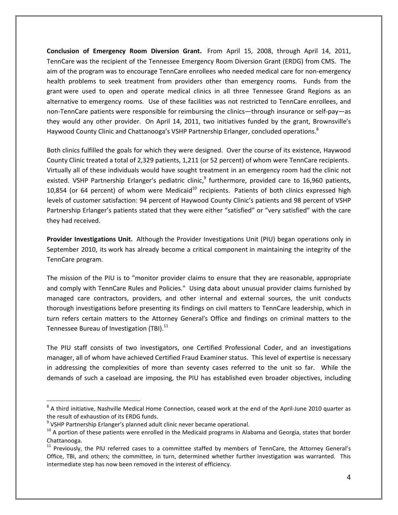**Conclusion of Emergency Room Diversion Grant.** From April 15, 2008, through April 14, 2011, TennCare was the recipient of the Tennessee Emergency Room Diversion Grant (ERDG) from CMS. The aim of the program was to encourage TennCare enrollees who needed medical care for non-emergency health problems to seek treatment from providers other than emergency rooms. Funds from the grant were used to open and operate medical clinics in all three Tennessee Grand Regions as an alternative to emergency rooms. Use of these facilities was not restricted to TennCare enrollees, and non-TennCare patients were responsible for reimbursing the clinics—through insurance or self-pay—as they would any other provider. On April 14, 2011, two initiatives funded by the grant, Brownsville's Haywood County Clinic and Chattanooga's VSHP Partnership Erlanger, concluded operations.<sup>8</sup>

Both clinics fulfilled the goals for which they were designed. Over the course of its existence, Haywood County Clinic treated a total of 2,329 patients, 1,211 (or 52 percent) of whom were TennCare recipients. Virtually all of these individuals would have sought treatment in an emergency room had the clinic not existed. VSHP Partnership Erlanger's pediatric clinic,<sup>9</sup> furthermore, provided care to 16,960 patients, 10,854 (or 64 percent) of whom were Medicaid<sup>10</sup> recipients. Patients of both clinics expressed high levels of customer satisfaction: 94 percent of Haywood County Clinic's patients and 98 percent of VSHP Partnership Erlanger's patients stated that they were either "satisfied" or "very satisfied" with the care they had received.

**Provider Investigations Unit.** Although the Provider Investigations Unit (PIU) began operations only in September 2010, its work has already become a critical component in maintaining the integrity of the TennCare program.

The mission of the PIU is to "monitor provider claims to ensure that they are reasonable, appropriate and comply with TennCare Rules and Policies." Using data about unusual provider claims furnished by managed care contractors, providers, and other internal and external sources, the unit conducts thorough investigations before presenting its findings on civil matters to TennCare leadership, which in turn refers certain matters to the Attorney General's Office and findings on criminal matters to the Tennessee Bureau of Investigation (TBI).<sup>11</sup>

The PIU staff consists of two investigators, one Certified Professional Coder, and an investigations manager, all of whom have achieved Certified Fraud Examiner status. This level of expertise is necessary in addressing the complexities of more than seventy cases referred to the unit so far. While the demands of such a caseload are imposing, the PIU has established even broader objectives, including

 $8$  A third initiative, Nashville Medical Home Connection, ceased work at the end of the April-June 2010 quarter as the result of exhaustion of its ERDG funds.

<sup>&</sup>lt;sup>9</sup> VSHP Partnership Erlanger's planned adult clinic never became operational.

<sup>&</sup>lt;sup>10</sup> A portion of these patients were enrolled in the Medicaid programs in Alabama and Georgia, states that border Chattanooga.

<sup>&</sup>lt;sup>11</sup> Previously, the PIU referred cases to a committee staffed by members of TennCare, the Attorney General's Office, TBI, and others; the committee, in turn, determined whether further investigation was warranted. This intermediate step has now been removed in the interest of efficiency.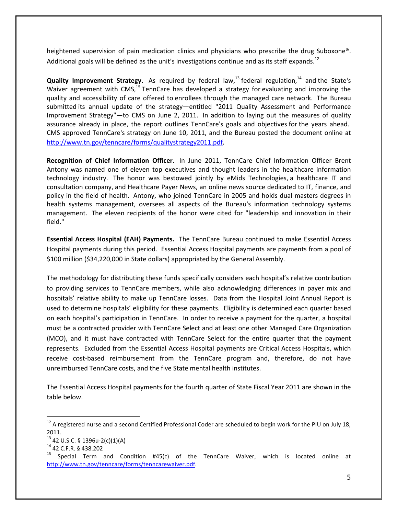heightened supervision of pain medication clinics and physicians who prescribe the drug Suboxone®. Additional goals will be defined as the unit's investigations continue and as its staff expands.<sup>12</sup>

**Quality Improvement Strategy.** As required by federal law,<sup>13</sup> federal regulation,<sup>14</sup> and the State's Waiver agreement with CMS,<sup>15</sup> TennCare has developed a strategy for evaluating and improving the quality and accessibility of care offered to enrollees through the managed care network. The Bureau submitted its annual update of the strategy—entitled "2011 Quality Assessment and Performance Improvement Strategy"—to CMS on June 2, 2011. In addition to laying out the measures of quality assurance already in place, the report outlines TennCare's goals and objectives for the years ahead. CMS approved TennCare's strategy on June 10, 2011, and the Bureau posted the document online at http://www.tn.gov/tenncare/forms/qualitystrategy2011.pdf.

**Recognition of Chief Information Officer.** In June 2011, TennCare Chief Information Officer Brent Antony was named one of eleven top executives and thought leaders in the healthcare information technology industry. The honor was bestowed jointly by eMids Technologies, a healthcare IT and consultation company, and Healthcare Payer News, an online news source dedicated to IT, finance, and policy in the field of health. Antony, who joined TennCare in 2005 and holds dual masters degrees in health systems management, oversees all aspects of the Bureau's information technology systems management. The eleven recipients of the honor were cited for "leadership and innovation in their field."

**Essential Access Hospital (EAH) Payments.** The TennCare Bureau continued to make Essential Access Hospital payments during this period. Essential Access Hospital payments are payments from a pool of \$100 million (\$34,220,000 in State dollars) appropriated by the General Assembly.

The methodology for distributing these funds specifically considers each hospital's relative contribution to providing services to TennCare members, while also acknowledging differences in payer mix and hospitals' relative ability to make up TennCare losses. Data from the Hospital Joint Annual Report is used to determine hospitals' eligibility for these payments. Eligibility is determined each quarter based on each hospital's participation in TennCare. In order to receive a payment for the quarter, a hospital must be a contracted provider with TennCare Select and at least one other Managed Care Organization (MCO), and it must have contracted with TennCare Select for the entire quarter that the payment represents. Excluded from the Essential Access Hospital payments are Critical Access Hospitals, which receive cost-based reimbursement from the TennCare program and, therefore, do not have unreimbursed TennCare costs, and the five State mental health institutes.

The Essential Access Hospital payments for the fourth quarter of State Fiscal Year 2011 are shown in the table below.

 $12$  A registered nurse and a second Certified Professional Coder are scheduled to begin work for the PIU on July 18, 2011.

<sup>13</sup> 42 U.S.C. § 1396u-2(c)(1)(A)

<sup>14</sup> 42 C.F.R. § 438.202

<sup>15</sup> Special Term and Condition #45(c) of the TennCare Waiver, which is located online at http://www.tn.gov/tenncare/forms/tenncarewaiver.pdf.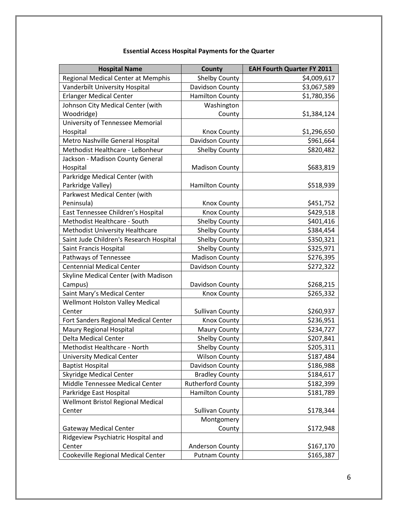| <b>Essential Access Hospital Payments for the Quarter</b> |  |  |  |
|-----------------------------------------------------------|--|--|--|
|-----------------------------------------------------------|--|--|--|

| <b>Hospital Name</b>                     | <b>County</b>            | <b>EAH Fourth Quarter FY 2011</b> |
|------------------------------------------|--------------------------|-----------------------------------|
| Regional Medical Center at Memphis       | <b>Shelby County</b>     | \$4,009,617                       |
| Vanderbilt University Hospital           | Davidson County          | \$3,067,589                       |
| <b>Erlanger Medical Center</b>           | <b>Hamilton County</b>   | \$1,780,356                       |
| Johnson City Medical Center (with        | Washington               |                                   |
| Woodridge)                               | County                   | \$1,384,124                       |
| University of Tennessee Memorial         |                          |                                   |
| Hospital                                 | <b>Knox County</b>       | \$1,296,650                       |
| Metro Nashville General Hospital         | Davidson County          | \$961,664                         |
| Methodist Healthcare - LeBonheur         | Shelby County            | \$820,482                         |
| Jackson - Madison County General         |                          |                                   |
| Hospital                                 | <b>Madison County</b>    | \$683,819                         |
| Parkridge Medical Center (with           |                          |                                   |
| Parkridge Valley)                        | <b>Hamilton County</b>   | \$518,939                         |
| Parkwest Medical Center (with            |                          |                                   |
| Peninsula)                               | <b>Knox County</b>       | \$451,752                         |
| East Tennessee Children's Hospital       | <b>Knox County</b>       | \$429,518                         |
| Methodist Healthcare - South             | <b>Shelby County</b>     | \$401,416                         |
| Methodist University Healthcare          | <b>Shelby County</b>     | \$384,454                         |
| Saint Jude Children's Research Hospital  | <b>Shelby County</b>     | \$350,321                         |
| Saint Francis Hospital                   | <b>Shelby County</b>     | \$325,971                         |
| Pathways of Tennessee                    | <b>Madison County</b>    | \$276,395                         |
| <b>Centennial Medical Center</b>         | Davidson County          | \$272,322                         |
| Skyline Medical Center (with Madison     |                          |                                   |
| Campus)                                  | Davidson County          | \$268,215                         |
| Saint Mary's Medical Center              | <b>Knox County</b>       | \$265,332                         |
| <b>Wellmont Holston Valley Medical</b>   |                          |                                   |
| Center                                   | <b>Sullivan County</b>   | \$260,937                         |
| Fort Sanders Regional Medical Center     | <b>Knox County</b>       | \$236,951                         |
| Maury Regional Hospital                  | Maury County             | \$234,727                         |
| <b>Delta Medical Center</b>              | <b>Shelby County</b>     | \$207,841                         |
| Methodist Healthcare - North             | Shelby County            | \$205,311                         |
| <b>University Medical Center</b>         | <b>Wilson County</b>     | \$187,484                         |
| <b>Baptist Hospital</b>                  | Davidson County          | \$186,988                         |
| <b>Skyridge Medical Center</b>           | <b>Bradley County</b>    | \$184,617                         |
| Middle Tennessee Medical Center          | <b>Rutherford County</b> | \$182,399                         |
| Parkridge East Hospital                  | <b>Hamilton County</b>   | \$181,789                         |
| <b>Wellmont Bristol Regional Medical</b> |                          |                                   |
| Center                                   | <b>Sullivan County</b>   | \$178,344                         |
|                                          | Montgomery               |                                   |
| <b>Gateway Medical Center</b>            | County                   | \$172,948                         |
| Ridgeview Psychiatric Hospital and       |                          |                                   |
| Center                                   | Anderson County          | \$167,170                         |
| Cookeville Regional Medical Center       | <b>Putnam County</b>     | \$165,387                         |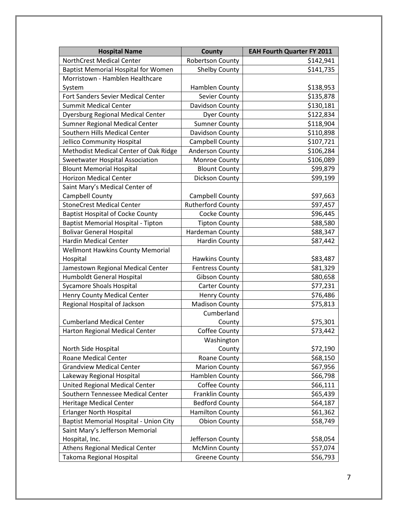| <b>Hospital Name</b>                       | <b>County</b>            | <b>EAH Fourth Quarter FY 2011</b> |
|--------------------------------------------|--------------------------|-----------------------------------|
| <b>NorthCrest Medical Center</b>           | <b>Robertson County</b>  | \$142,941                         |
| <b>Baptist Memorial Hospital for Women</b> | <b>Shelby County</b>     | \$141,735                         |
| Morristown - Hamblen Healthcare            |                          |                                   |
| System                                     | Hamblen County           | \$138,953                         |
| Fort Sanders Sevier Medical Center         | <b>Sevier County</b>     | \$135,878                         |
| <b>Summit Medical Center</b>               | Davidson County          | \$130,181                         |
| <b>Dyersburg Regional Medical Center</b>   | <b>Dyer County</b>       | \$122,834                         |
| <b>Sumner Regional Medical Center</b>      | <b>Sumner County</b>     | \$118,904                         |
| Southern Hills Medical Center              | Davidson County          | \$110,898                         |
| Jellico Community Hospital                 | Campbell County          | \$107,721                         |
| Methodist Medical Center of Oak Ridge      | Anderson County          | \$106,284                         |
| <b>Sweetwater Hospital Association</b>     | Monroe County            | \$106,089                         |
| <b>Blount Memorial Hospital</b>            | <b>Blount County</b>     | \$99,879                          |
| <b>Horizon Medical Center</b>              | Dickson County           | \$99,199                          |
| Saint Mary's Medical Center of             |                          |                                   |
| Campbell County                            | Campbell County          | \$97,663                          |
| <b>StoneCrest Medical Center</b>           | <b>Rutherford County</b> | \$97,457                          |
| <b>Baptist Hospital of Cocke County</b>    | Cocke County             | \$96,445                          |
| <b>Baptist Memorial Hospital - Tipton</b>  | <b>Tipton County</b>     | \$88,580                          |
| <b>Bolivar General Hospital</b>            | Hardeman County          | \$88,347                          |
| <b>Hardin Medical Center</b>               | <b>Hardin County</b>     | \$87,442                          |
| <b>Wellmont Hawkins County Memorial</b>    |                          |                                   |
| Hospital                                   | <b>Hawkins County</b>    | \$83,487                          |
| Jamestown Regional Medical Center          | <b>Fentress County</b>   | \$81,329                          |
| <b>Humboldt General Hospital</b>           | <b>Gibson County</b>     | \$80,658                          |
| <b>Sycamore Shoals Hospital</b>            | <b>Carter County</b>     | \$77,231                          |
| <b>Henry County Medical Center</b>         | <b>Henry County</b>      | \$76,486                          |
| Regional Hospital of Jackson               | <b>Madison County</b>    | \$75,813                          |
|                                            | Cumberland               |                                   |
| <b>Cumberland Medical Center</b>           | County                   | \$75,301                          |
| Harton Regional Medical Center             | Coffee County            | \$73,442                          |
|                                            | Washington               |                                   |
| North Side Hospital                        | County                   | \$72,190                          |
| <b>Roane Medical Center</b>                | Roane County             | \$68,150                          |
| <b>Grandview Medical Center</b>            | <b>Marion County</b>     | \$67,956                          |
| Lakeway Regional Hospital                  | Hamblen County           | \$66,798                          |
| United Regional Medical Center             | <b>Coffee County</b>     | \$66,111                          |
| Southern Tennessee Medical Center          | <b>Franklin County</b>   | \$65,439                          |
| <b>Heritage Medical Center</b>             | <b>Bedford County</b>    | \$64,187                          |
| <b>Erlanger North Hospital</b>             | <b>Hamilton County</b>   | \$61,362                          |
| Baptist Memorial Hospital - Union City     | <b>Obion County</b>      | \$58,749                          |
| Saint Mary's Jefferson Memorial            |                          |                                   |
| Hospital, Inc.                             | Jefferson County         | \$58,054                          |
| <b>Athens Regional Medical Center</b>      | <b>McMinn County</b>     | \$57,074                          |
| Takoma Regional Hospital                   | <b>Greene County</b>     | \$56,793                          |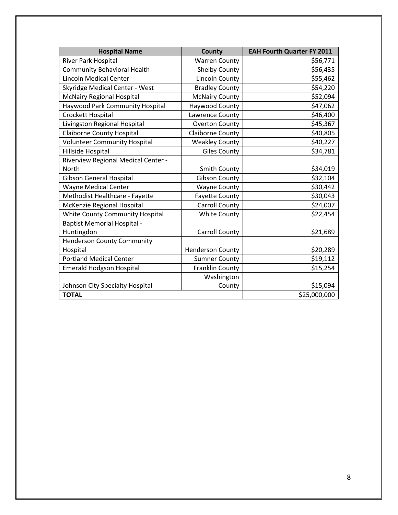| <b>Hospital Name</b>                   | County                  | <b>EAH Fourth Quarter FY 2011</b> |
|----------------------------------------|-------------------------|-----------------------------------|
| <b>River Park Hospital</b>             | <b>Warren County</b>    | \$56,771                          |
| <b>Community Behavioral Health</b>     | <b>Shelby County</b>    | \$56,435                          |
| <b>Lincoln Medical Center</b>          | <b>Lincoln County</b>   | \$55,462                          |
| Skyridge Medical Center - West         | <b>Bradley County</b>   | \$54,220                          |
| <b>McNairy Regional Hospital</b>       | <b>McNairy County</b>   | \$52,094                          |
| <b>Haywood Park Community Hospital</b> | Haywood County          | \$47,062                          |
| Crockett Hospital                      | Lawrence County         | \$46,400                          |
| Livingston Regional Hospital           | <b>Overton County</b>   | \$45,367                          |
| <b>Claiborne County Hospital</b>       | Claiborne County        | \$40,805                          |
| <b>Volunteer Community Hospital</b>    | <b>Weakley County</b>   | \$40,227                          |
| Hillside Hospital                      | <b>Giles County</b>     | \$34,781                          |
| Riverview Regional Medical Center -    |                         |                                   |
| <b>North</b>                           | Smith County            | \$34,019                          |
| <b>Gibson General Hospital</b>         | <b>Gibson County</b>    | \$32,104                          |
| <b>Wayne Medical Center</b>            | <b>Wayne County</b>     | \$30,442                          |
| Methodist Healthcare - Fayette         | <b>Fayette County</b>   | \$30,043                          |
| McKenzie Regional Hospital             | <b>Carroll County</b>   | \$24,007                          |
| White County Community Hospital        | <b>White County</b>     | \$22,454                          |
| <b>Baptist Memorial Hospital -</b>     |                         |                                   |
| Huntingdon                             | <b>Carroll County</b>   | \$21,689                          |
| <b>Henderson County Community</b>      |                         |                                   |
| Hospital                               | <b>Henderson County</b> | \$20,289                          |
| <b>Portland Medical Center</b>         | <b>Sumner County</b>    | \$19,112                          |
| <b>Emerald Hodgson Hospital</b>        | <b>Franklin County</b>  | \$15,254                          |
|                                        | Washington              |                                   |
| Johnson City Specialty Hospital        | County                  | \$15,094                          |
| <b>TOTAL</b>                           |                         | \$25,000,000                      |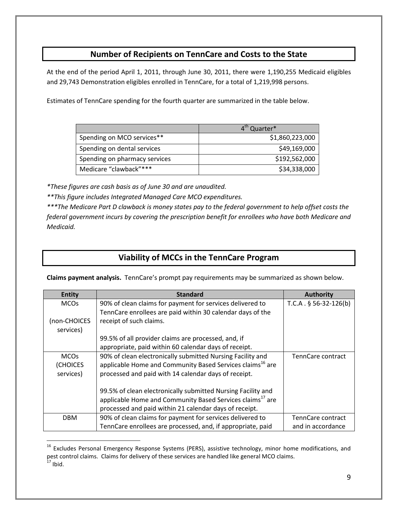## **Number of Recipients on TennCare and Costs to the State**

At the end of the period April 1, 2011, through June 30, 2011, there were 1,190,255 Medicaid eligibles and 29,743 Demonstration eligibles enrolled in TennCare, for a total of 1,219,998 persons.

Estimates of TennCare spending for the fourth quarter are summarized in the table below.

|                               | 4 <sup>th</sup> Quarter* |
|-------------------------------|--------------------------|
| Spending on MCO services**    | \$1,860,223,000          |
| Spending on dental services   | \$49,169,000             |
| Spending on pharmacy services | \$192,562,000            |
| Medicare "clawback"***        | \$34,338,000             |

*\*These figures are cash basis as of June 30 and are unaudited.*

*\*\*This figure includes Integrated Managed Care MCO expenditures.*

*\*\*\*The Medicare Part D clawback is money states pay to the federal government to help offset costs the federal government incurs by covering the prescription benefit for enrollees who have both Medicare and Medicaid.*

## **Viability of MCCs in the TennCare Program**

**Claims payment analysis.** TennCare's prompt pay requirements may be summarized as shown below.

| <b>Entity</b> | <b>Standard</b>                                                       | <b>Authority</b>        |
|---------------|-----------------------------------------------------------------------|-------------------------|
| <b>MCOs</b>   | 90% of clean claims for payment for services delivered to             | $T.C.A. § 56-32-126(b)$ |
|               | TennCare enrollees are paid within 30 calendar days of the            |                         |
| (non-CHOICES  | receipt of such claims.                                               |                         |
| services)     |                                                                       |                         |
|               | 99.5% of all provider claims are processed, and, if                   |                         |
|               | appropriate, paid within 60 calendar days of receipt.                 |                         |
| <b>MCOs</b>   | 90% of clean electronically submitted Nursing Facility and            | TennCare contract       |
| (CHOICES      | applicable Home and Community Based Services claims <sup>16</sup> are |                         |
| services)     | processed and paid with 14 calendar days of receipt.                  |                         |
|               |                                                                       |                         |
|               | 99.5% of clean electronically submitted Nursing Facility and          |                         |
|               | applicable Home and Community Based Services claims <sup>17</sup> are |                         |
|               | processed and paid within 21 calendar days of receipt.                |                         |
| <b>DBM</b>    | 90% of clean claims for payment for services delivered to             | TennCare contract       |
|               | TennCare enrollees are processed, and, if appropriate, paid           | and in accordance       |

<sup>&</sup>lt;sup>16</sup> Excludes Personal Emergency Response Systems (PERS), assistive technology, minor home modifications, and pest control claims. Claims for delivery of these services are handled like general MCO claims.  $17$  Ibid.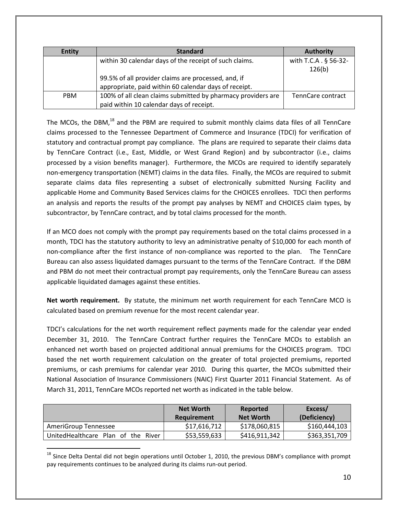| <b>Entity</b> | <b>Standard</b>                                              | <b>Authority</b>      |
|---------------|--------------------------------------------------------------|-----------------------|
|               | within 30 calendar days of the receipt of such claims.       | with T.C.A . § 56-32- |
|               |                                                              | 126(b)                |
|               | 99.5% of all provider claims are processed, and, if          |                       |
|               | appropriate, paid within 60 calendar days of receipt.        |                       |
| <b>PBM</b>    | 100% of all clean claims submitted by pharmacy providers are | TennCare contract     |
|               | paid within 10 calendar days of receipt.                     |                       |

The MCOs, the DBM, $^{18}$  and the PBM are required to submit monthly claims data files of all TennCare claims processed to the Tennessee Department of Commerce and Insurance (TDCI) for verification of statutory and contractual prompt pay compliance. The plans are required to separate their claims data by TennCare Contract (i.e., East, Middle, or West Grand Region) and by subcontractor (i.e., claims processed by a vision benefits manager). Furthermore, the MCOs are required to identify separately non-emergency transportation (NEMT) claims in the data files. Finally, the MCOs are required to submit separate claims data files representing a subset of electronically submitted Nursing Facility and applicable Home and Community Based Services claims for the CHOICES enrollees. TDCI then performs an analysis and reports the results of the prompt pay analyses by NEMT and CHOICES claim types, by subcontractor, by TennCare contract, and by total claims processed for the month.

If an MCO does not comply with the prompt pay requirements based on the total claims processed in a month, TDCI has the statutory authority to levy an administrative penalty of \$10,000 for each month of non-compliance after the first instance of non-compliance was reported to the plan. The TennCare Bureau can also assess liquidated damages pursuant to the terms of the TennCare Contract. If the DBM and PBM do not meet their contractual prompt pay requirements, only the TennCare Bureau can assess applicable liquidated damages against these entities.

**Net worth requirement.** By statute, the minimum net worth requirement for each TennCare MCO is calculated based on premium revenue for the most recent calendar year.

TDCI's calculations for the net worth requirement reflect payments made for the calendar year ended December 31, 2010. The TennCare Contract further requires the TennCare MCOs to establish an enhanced net worth based on projected additional annual premiums for the CHOICES program. TDCI based the net worth requirement calculation on the greater of total projected premiums, reported premiums, or cash premiums for calendar year 2010. During this quarter, the MCOs submitted their National Association of Insurance Commissioners (NAIC) First Quarter 2011 Financial Statement. As of March 31, 2011, TennCare MCOs reported net worth as indicated in the table below.

|                                    | <b>Net Worth</b><br>Requirement | Reported<br><b>Net Worth</b> | Excess/<br>(Deficiency) |
|------------------------------------|---------------------------------|------------------------------|-------------------------|
| AmeriGroup Tennessee               | \$17,616,712                    | \$178,060,815                | \$160,444,103           |
| UnitedHealthcare Plan of the River | \$53,559,633                    | \$416,911,342                | \$363,351,709           |

 $18$  Since Delta Dental did not begin operations until October 1, 2010, the previous DBM's compliance with prompt pay requirements continues to be analyzed during its claims run-out period.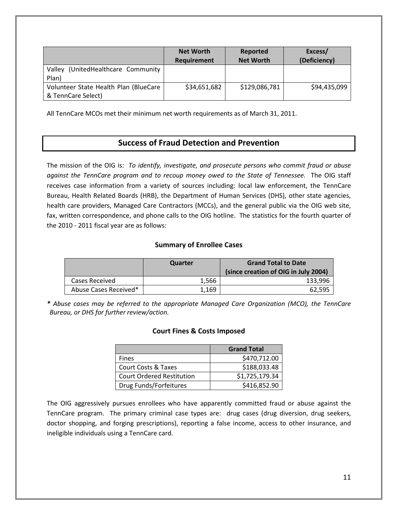|                                                             | <b>Net Worth</b><br><b>Requirement</b> | Reported<br><b>Net Worth</b> | Excess/<br>(Deficiency) |
|-------------------------------------------------------------|----------------------------------------|------------------------------|-------------------------|
| (UnitedHealthcare Community<br>Valley<br>Plan)              |                                        |                              |                         |
| Volunteer State Health Plan (BlueCare<br>& TennCare Select) | \$34,651,682                           | \$129,086,781                | \$94,435,099            |

All TennCare MCOs met their minimum net worth requirements as of March 31, 2011.

### **Success of Fraud Detection and Prevention**

The mission of the OIG is: *To identify, investigate, and prosecute persons who commit fraud or abuse against the TennCare program and to recoup money owed to the State of Tennessee.* The OIG staff receives case information from a variety of sources including: local law enforcement, the TennCare Bureau, Health Related Boards (HRB), the Department of Human Services (DHS), other state agencies, health care providers, Managed Care Contractors (MCCs), and the general public via the OIG web site, fax, written correspondence, and phone calls to the OIG hotline. The statistics for the fourth quarter of the 2010 - 2011 fiscal year are as follows:

### **Summary of Enrollee Cases**

|                       | Quarter | <b>Grand Total to Date</b><br>(since creation of OIG in July 2004) |
|-----------------------|---------|--------------------------------------------------------------------|
| Cases Received        | 1.566   | 133.996                                                            |
| Abuse Cases Received* | 1.169   | 62,595                                                             |

*\* Abuse cases may be referred to the appropriate Managed Care Organization (MCO), the TennCare Bureau, or DHS for further review/action.*

### **Court Fines & Costs Imposed**

|                                  | <b>Grand Total</b> |
|----------------------------------|--------------------|
| <b>Fines</b>                     | \$470,712.00       |
| <b>Court Costs &amp; Taxes</b>   | \$188,033.48       |
| <b>Court Ordered Restitution</b> | \$1,725,179.34     |
| Drug Funds/Forfeitures           | \$416,852.90       |

The OIG aggressively pursues enrollees who have apparently committed fraud or abuse against the TennCare program. The primary criminal case types are: drug cases (drug diversion, drug seekers, doctor shopping, and forging prescriptions), reporting a false income, access to other insurance, and ineligible individuals using a TennCare card.